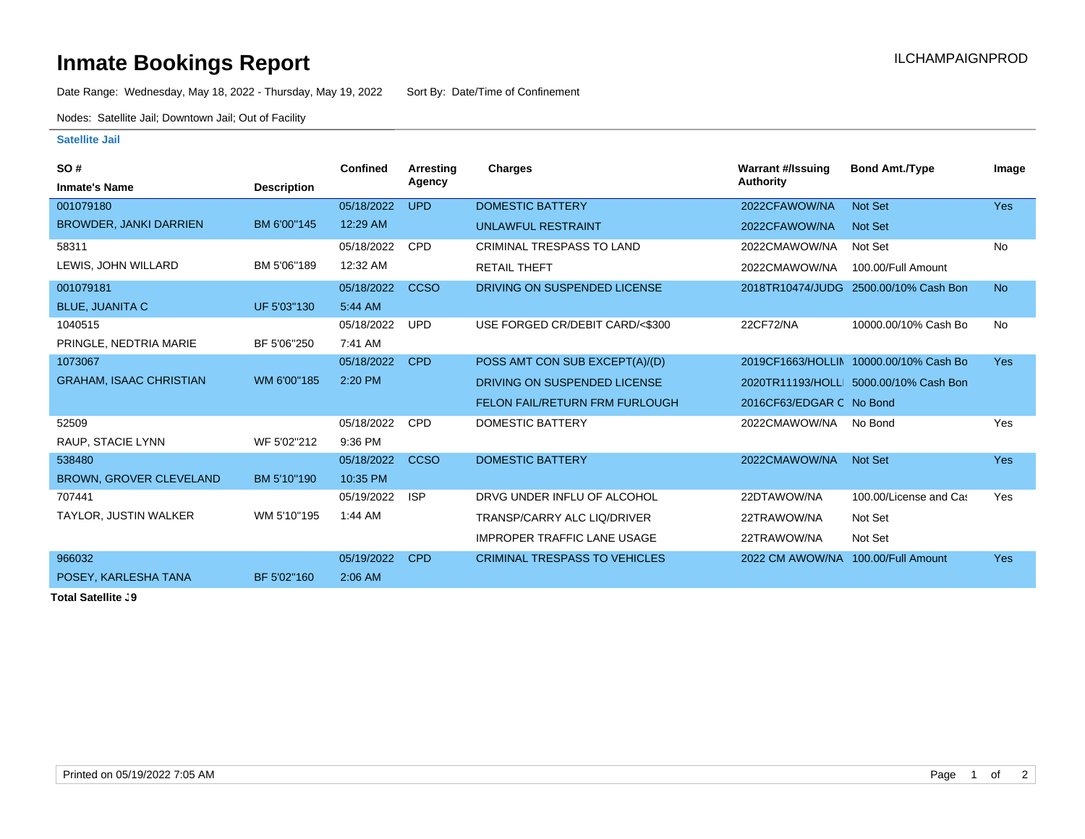## **Inmate Bookings Report Installation ILCHAMPAIGNPROD**

Date Range: Wednesday, May 18, 2022 - Thursday, May 19, 2022 Sort By: Date/Time of Confinement

Nodes: Satellite Jail; Downtown Jail; Out of Facility

## **Satellite Jail**

| SO#                            |                    | Confined   | Arresting   | <b>Charges</b>                        | <b>Warrant #/Issuing</b> | <b>Bond Amt./Type</b>                  | Image      |
|--------------------------------|--------------------|------------|-------------|---------------------------------------|--------------------------|----------------------------------------|------------|
| <b>Inmate's Name</b>           | <b>Description</b> |            | Agency      |                                       | <b>Authority</b>         |                                        |            |
| 001079180                      |                    | 05/18/2022 | <b>UPD</b>  | <b>DOMESTIC BATTERY</b>               | 2022CFAWOW/NA            | Not Set                                | <b>Yes</b> |
| <b>BROWDER, JANKI DARRIEN</b>  | BM 6'00"145        | 12:29 AM   |             | <b>UNLAWFUL RESTRAINT</b>             | 2022CFAWOW/NA            | Not Set                                |            |
| 58311                          |                    | 05/18/2022 | <b>CPD</b>  | <b>CRIMINAL TRESPASS TO LAND</b>      | 2022CMAWOW/NA            | Not Set                                | No         |
| LEWIS, JOHN WILLARD            | BM 5'06"189        | 12:32 AM   |             | <b>RETAIL THEFT</b>                   | 2022CMAWOW/NA            | 100.00/Full Amount                     |            |
| 001079181                      |                    | 05/18/2022 | <b>CCSO</b> | DRIVING ON SUSPENDED LICENSE          | 2018TR10474/JUDG         | 2500.00/10% Cash Bon                   | <b>No</b>  |
| <b>BLUE, JUANITA C</b>         | UF 5'03"130        | 5:44 AM    |             |                                       |                          |                                        |            |
| 1040515                        |                    | 05/18/2022 | <b>UPD</b>  | USE FORGED CR/DEBIT CARD/<\$300       | 22CF72/NA                | 10000.00/10% Cash Bo                   | <b>No</b>  |
| PRINGLE, NEDTRIA MARIE         | BF 5'06"250        | 7:41 AM    |             |                                       |                          |                                        |            |
| 1073067                        |                    | 05/18/2022 | <b>CPD</b>  | POSS AMT CON SUB EXCEPT(A)/(D)        |                          | 2019CF1663/HOLLIN 10000.00/10% Cash Bo | <b>Yes</b> |
| <b>GRAHAM, ISAAC CHRISTIAN</b> | WM 6'00"185        | 2:20 PM    |             | DRIVING ON SUSPENDED LICENSE          |                          | 2020TR11193/HOLLI 5000.00/10% Cash Bon |            |
|                                |                    |            |             | <b>FELON FAIL/RETURN FRM FURLOUGH</b> | 2016CF63/EDGAR C No Bond |                                        |            |
| 52509                          |                    | 05/18/2022 | CPD         | <b>DOMESTIC BATTERY</b>               | 2022CMAWOW/NA            | No Bond                                | Yes        |
| RAUP, STACIE LYNN              | WF 5'02"212        | 9:36 PM    |             |                                       |                          |                                        |            |
| 538480                         |                    | 05/18/2022 | <b>CCSO</b> | <b>DOMESTIC BATTERY</b>               | 2022CMAWOW/NA            | Not Set                                | <b>Yes</b> |
| <b>BROWN, GROVER CLEVELAND</b> | BM 5'10"190        | 10:35 PM   |             |                                       |                          |                                        |            |
| 707441                         |                    | 05/19/2022 | <b>ISP</b>  | DRVG UNDER INFLU OF ALCOHOL           | 22DTAWOW/NA              | 100.00/License and Cas                 | Yes        |
| TAYLOR, JUSTIN WALKER          | WM 5'10"195        | $1:44$ AM  |             | TRANSP/CARRY ALC LIQ/DRIVER           | 22TRAWOW/NA              | Not Set                                |            |
|                                |                    |            |             | <b>IMPROPER TRAFFIC LANE USAGE</b>    | 22TRAWOW/NA              | Not Set                                |            |
| 966032                         |                    | 05/19/2022 | <b>CPD</b>  | <b>CRIMINAL TRESPASS TO VEHICLES</b>  | 2022 CM AWOW/NA          | 100.00/Full Amount                     | <b>Yes</b> |
| POSEY, KARLESHA TANA           | BF 5'02"160        | 2:06 AM    |             |                                       |                          |                                        |            |

**Total Satellite . 9**